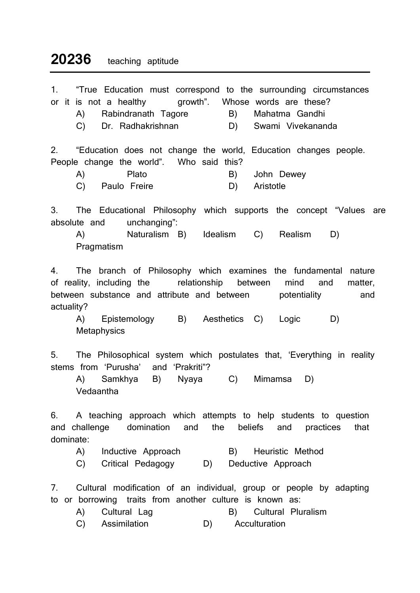## 20236 teaching aptitude

| 1.<br>"True Education must correspond to the surrounding circumstances<br>or it is not a healthy growth". Whose words are these?<br>Rabindranath Tagore<br>B) Mahatma Gandhi<br>(A)<br>C) Dr. Radhakrishnan<br>D) Swami Vivekananda                                                              |  |
|--------------------------------------------------------------------------------------------------------------------------------------------------------------------------------------------------------------------------------------------------------------------------------------------------|--|
| "Education does not change the world, Education changes people.<br>2.<br>People change the world". Who said this?<br>Plato<br>A)<br>B)<br>John Dewey<br>C) Paulo Freire<br>D) Aristotle                                                                                                          |  |
| 3.<br>The Educational Philosophy which supports the concept "Values are<br>absolute and<br>unchanging":<br>Naturalism B) Idealism C) Realism<br>A)<br>D)<br>Pragmatism                                                                                                                           |  |
| The branch of Philosophy which examines the fundamental nature<br>4.<br>of reality, including the relationship between<br>mind<br>and<br>matter,<br>between substance and attribute and between potentiality<br>and<br>actuality?<br>A) Epistemology B) Aesthetics C) Logic<br>D)<br>Metaphysics |  |
| The Philosophical system which postulates that, 'Everything in reality<br>5.<br>stems from 'Purusha' and 'Prakriti"?<br>Samkhya B) Nyaya C) Mimamsa<br>(A)<br>D)<br>Vedaantha                                                                                                                    |  |
| 6. A teaching approach which attempts to help students to question<br>and challenge<br>domination and<br>the<br>beliefs<br>and<br>that<br>practices<br>dominate:                                                                                                                                 |  |

- A) Inductive Approach (B) Heuristic Method
- C) Critical Pedagogy D) Deductive Approach

7. Cultural modification of an individual, group or people by adapting to or borrowing traits from another culture is known as:<br>
A) Cultural Lag (B) Cultural Plu

- A) Cultural Lag B) Cultural Pluralism
- C) Assimilation D) Acculturation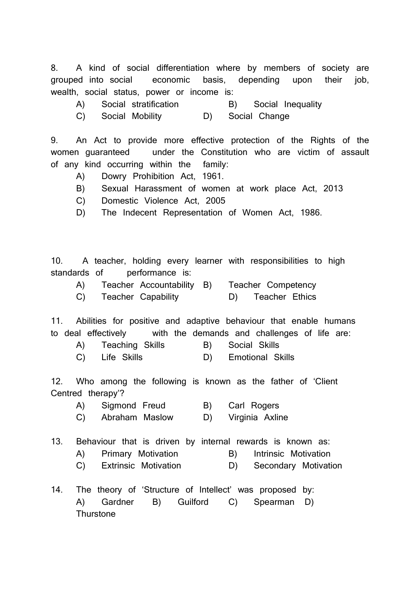8. A kind of social differentiation where by members of society are grouped into social economic basis, depending upon their job, wealth, social status, power or income is:

- A) Social stratification B) Social Inequality
- C) Social Mobility D) Social Change

9. An Act to provide more effective protection of the Rights of the women guaranteed under the Constitution who are victim of assault of any kind occurring within the family:

- A) Dowry Prohibition Act, 1961.
- B) Sexual Harassment of women at work place Act, 2013
- C) Domestic Violence Act, 2005
- D) The Indecent Representation of Women Act, 1986.

10. A teacher, holding every learner with responsibilities to high standards of performance is:

| Teacher Accountability B) |  | Teacher Competency |
|---------------------------|--|--------------------|
| <b>Teacher Capability</b> |  | Teacher Ethics     |

11. Abilities for positive and adaptive behaviour that enable humans to deal effectively with the demands and challenges of life are:

- A) Teaching Skills B) Social Skills
- C) Life Skills **D**) Emotional Skills

12. Who among the following is known as the father of 'Client Centred therapy'?

- A) Sigmond Freud B) Carl Rogers
- C) Abraham Maslow D) Virginia Axline

|  | 13. Behaviour that is driven by internal rewards is known as: |  |  |  |  |  |  |  |  |  |  |
|--|---------------------------------------------------------------|--|--|--|--|--|--|--|--|--|--|
|--|---------------------------------------------------------------|--|--|--|--|--|--|--|--|--|--|

- A) Primary Motivation (B) Intrinsic Motivation
- C) Extrinsic Motivation D) Secondary Motivation
- 14. The theory of 'Structure of Intellect' was proposed by: A) Gardner B) Guilford C) Spearman D) **Thurstone**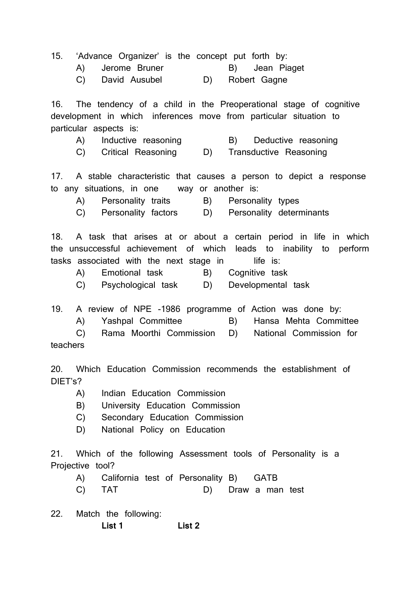|                  |  | 15. 'Advance Organizer' is the concept put forth by: |  |                 |  |                |
|------------------|--|------------------------------------------------------|--|-----------------|--|----------------|
|                  |  | A) Jerome Bruner                                     |  |                 |  | B) Jean Piaget |
| C) David Ausubel |  |                                                      |  | D) Robert Gagne |  |                |

16. The tendency of a child in the Preoperational stage of cognitive development in which inferences move from particular situation to particular aspects is:

- A) Inductive reasoning TB B Deductive reasoning
- C) Critical Reasoning D) Transductive Reasoning

17. A stable characteristic that causes a person to depict a response to any situations, in one way or another is:

- A) Personality traits B) Personality types
- C) Personality factors D) Personality determinants

18. A task that arises at or about a certain period in life in which the unsuccessful achievement of which leads to inability to perform tasks associated with the next stage in life is:

- A) Emotional task B) Cognitive task
- C) Psychological task D) Developmental task

19. A review of NPE -1986 programme of Action was done by:

A) Yashpal Committee B) Hansa Mehta Committee

 C) Rama Moorthi Commission D) National Commission for teachers

20. Which Education Commission recommends the establishment of DIET's?

- A) Indian Education Commission
- B) University Education Commission
- C) Secondary Education Commission
- D) National Policy on Education

21. Which of the following Assessment tools of Personality is a Projective tool?

- A) California test of Personality B) GATB
- C) TAT D) Draw a man test
- 22. Match the following: List 1 List 2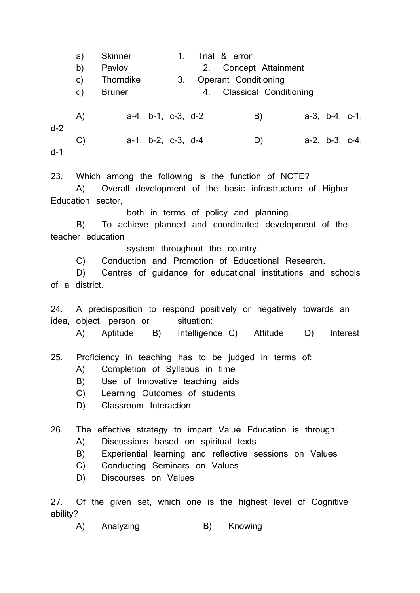a) Skinner 1. Trial & error b) Pavlov 2. Concept Attainment c) Thorndike 3. Operant Conditioning d) Bruner 4. Classical Conditioning A) a-4, b-1, c-3, d-2 B) a-3, b-4, c-1, d-2 C) a-1, b-2, c-3, d-4 D) a-2, b-3, c-4, d-1

23. Which among the following is the function of NCTE?

 A) Overall development of the basic infrastructure of Higher Education sector,

both in terms of policy and planning.

 B) To achieve planned and coordinated development of the teacher education

system throughout the country.

C) Conduction and Promotion of Educational Research.

 D) Centres of guidance for educational institutions and schools of a district.

24. A predisposition to respond positively or negatively towards an idea, object, person or situation:

A) Aptitude B) Intelligence C) Attitude D) Interest

25. Proficiency in teaching has to be judged in terms of:

- A) Completion of Syllabus in time
- B) Use of Innovative teaching aids
- C) Learning Outcomes of students
- D) Classroom Interaction

26. The effective strategy to impart Value Education is through:

- A) Discussions based on spiritual texts
- B) Experiential learning and reflective sessions on Values
- C) Conducting Seminars on Values
- D) Discourses on Values

27. Of the given set, which one is the highest level of Cognitive ability?

A) Analyzing B) Knowing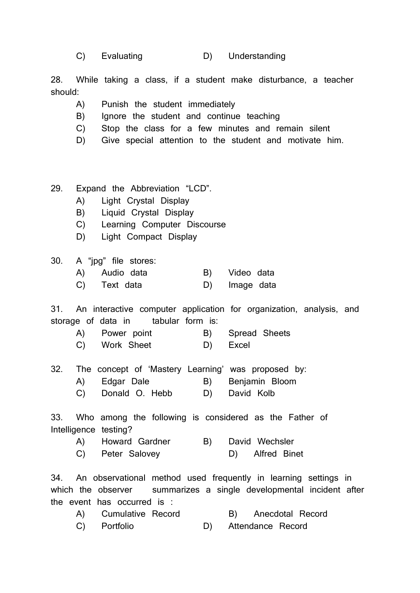|  | Evaluating |  | Understanding |
|--|------------|--|---------------|
|--|------------|--|---------------|

28. While taking a class, if a student make disturbance, a teacher should:

- A) Punish the student immediately
- B) Ignore the student and continue teaching
- C) Stop the class for a few minutes and remain silent
- D) Give special attention to the student and motivate him.
- 29. Expand the Abbreviation "LCD".
	- A) Light Crystal Display
	- B) Liquid Crystal Display
	- C) Learning Computer Discourse
	- D) Light Compact Display

30. A "jpg" file stores:

- A) Audio data B) Video data
- C) Text data (D) Image data

31. An interactive computer application for organization, analysis, and storage of data in tabular form is:

- A) Power point B) Spread Sheets
- C) Work Sheet D) Excel
- 32. The concept of 'Mastery Learning' was proposed by:
	- A) Edgar Dale B) Benjamin Bloom
	- C) Donald O. Hebb D) David Kolb

33. Who among the following is considered as the Father of Intelligence testing?

 A) Howard Gardner B) David Wechsler C) Peter Salovey D) Alfred Binet

34. An observational method used frequently in learning settings in which the observer summarizes a single developmental incident after the event has occurred is :

| A) Cumulative Record |  | B) Anecdotal Record  |
|----------------------|--|----------------------|
| C) Portfolio         |  | D) Attendance Record |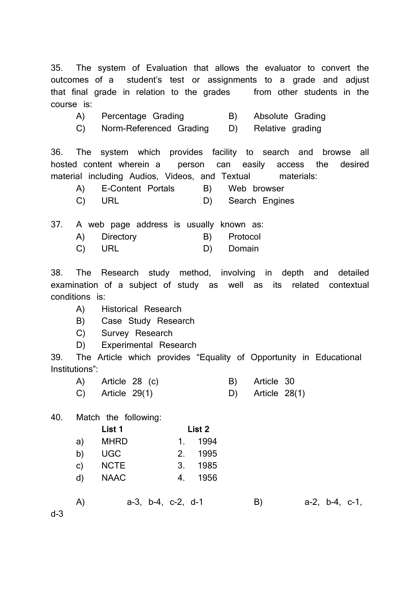35. The system of Evaluation that allows the evaluator to convert the outcomes of a student's test or assignments to a grade and adjust that final grade in relation to the grades from other students in the course is:

- A) Percentage Grading (B) Absolute Grading
- C) Norm-Referenced Grading D) Relative grading

36. The system which provides facility to search and browse all hosted content wherein a person can easily access the desired material including Audios, Videos, and Textual materials:

| A) E-Content Portals | B) Web browser    |
|----------------------|-------------------|
| C) URL               | D) Search Engines |

37. A web page address is usually known as:

|  | Directory |  | Protocol |
|--|-----------|--|----------|
|--|-----------|--|----------|

C) URL D) Domain

38. The Research study method, involving in depth and detailed examination of a subject of study as well as its related contextual conditions is:

- A) Historical Research
- B) Case Study Research
- C) Survey Research
- D) Experimental Research

39. The Article which provides "Equality of Opportunity in Educational Institutions":

| A) Article 28 (c)  | B) Article 30      |
|--------------------|--------------------|
| $C)$ Article 29(1) | D) Article $28(1)$ |

## 40. Match the following:

|    | List 1      | List 2          |
|----|-------------|-----------------|
| a) | <b>MHRD</b> | 1994<br>1.      |
| b) | <b>UGC</b>  | 1995<br>$2_{-}$ |
| C) | <b>NCTE</b> | 1985<br>3.      |
| d) | <b>NAAC</b> | 1956<br>4.      |
|    |             |                 |

A) a-3, b-4, c-2, d-1 B) a-2, b-4, c-1,

d-3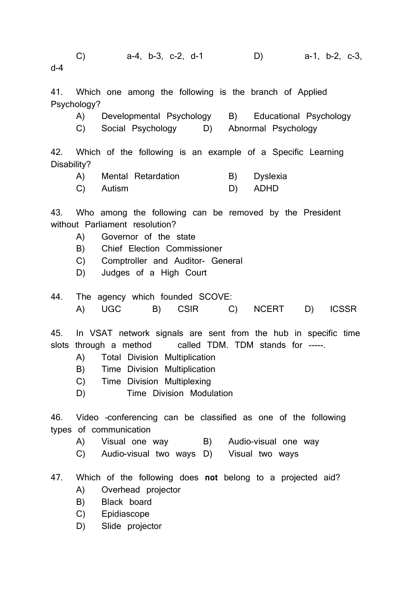C) a-4, b-3, c-2, d-1 D) a-1, b-2, c-3, d-4 41. Which one among the following is the branch of Applied Psychology?

 A) Developmental Psychology B) Educational Psychology C) Social Psychology D) Abnormal Psychology

42. Which of the following is an example of a Specific Learning Disability?

| A) Mental Retardation | B) Dyslexia |
|-----------------------|-------------|
| C) Autism             | D) ADHD     |

43. Who among the following can be removed by the President without Parliament resolution?

- A) Governor of the state
- B) Chief Election Commissioner
- C) Comptroller and Auditor- General
- D) Judges of a High Court

44. The agency which founded SCOVE: A) UGC B) CSIR C) NCERT D) ICSSR

45. In VSAT network signals are sent from the hub in specific time slots through a method called TDM. TDM stands for -----.

- A) Total Division Multiplication
- B) Time Division Multiplication
- C) Time Division Multiplexing
- D) Time Division Modulation

46. Video –conferencing can be classified as one of the following types of communication

- A) Visual one way B) Audio-visual one way
- C) Audio-visual two ways D) Visual two ways
- 47. Which of the following does not belong to a projected aid?
	- A) Overhead projector
	- B) Black board
	- C) Epidiascope
	- D) Slide projector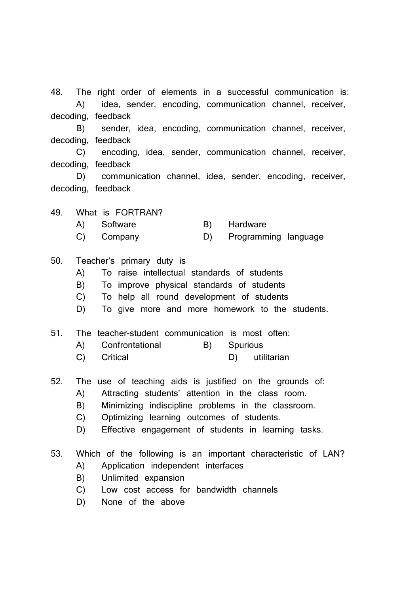48. The right order of elements in a successful communication is: A) idea, sender, encoding, communication channel, receiver, decoding, feedback

 B) sender, idea, encoding, communication channel, receiver, decoding, feedback

 C) encoding, idea, sender, communication channel, receiver, decoding, feedback

 D) communication channel, idea, sender, encoding, receiver, decoding, feedback

49. What is FORTRAN?

- A) Software B) Hardware
- C) Company D) Programming language

50. Teacher's primary duty is

- A) To raise intellectual standards of students
- B) To improve physical standards of students
- C) To help all round development of students
- D) To give more and more homework to the students.
- 51. The teacher-student communication is most often:
	- A) Confrontational B) Spurious
	- C) Critical D) utilitarian
- 52. The use of teaching aids is justified on the grounds of:
	- A) Attracting students' attention in the class room.
	- B) Minimizing indiscipline problems in the classroom.
	- C) Optimizing learning outcomes of students.
	- D) Effective engagement of students in learning tasks.
- 53. Which of the following is an important characteristic of LAN?
	- A) Application independent interfaces
	- B) Unlimited expansion
	- C) Low cost access for bandwidth channels
	- D) None of the above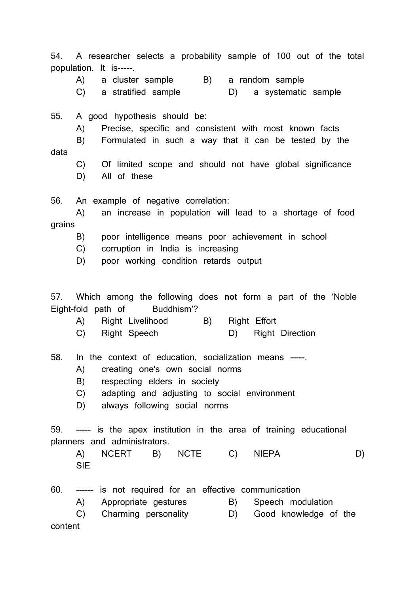54. A researcher selects a probability sample of 100 out of the total population. It is-----.

A) a cluster sample B) a random sample

C) a stratified sample D) a systematic sample

55. A good hypothesis should be:

A) Precise, specific and consistent with most known facts

 B) Formulated in such a way that it can be tested by the data

- C) Of limited scope and should not have global significance
- D) All of these

56. An example of negative correlation:

 A) an increase in population will lead to a shortage of food grains

- B) poor intelligence means poor achievement in school
- C) corruption in India is increasing
- D) poor working condition retards output

57. Which among the following does not form a part of the 'Noble Eight-fold path of Buddhism'?

- A) Right Livelihood B) Right Effort
- C) Right Speech D) Right Direction

58. In the context of education, socialization means -----.

- A) creating one's own social norms
- B) respecting elders in society
- C) adapting and adjusting to social environment
- D) always following social norms

59. ----- is the apex institution in the area of training educational planners and administrators.

 A) NCERT B) NCTE C) NIEPA D) SIE

60. ------ is not required for an effective communication

A) Appropriate gestures B) Speech modulation

 C) Charming personality D) Good knowledge of the content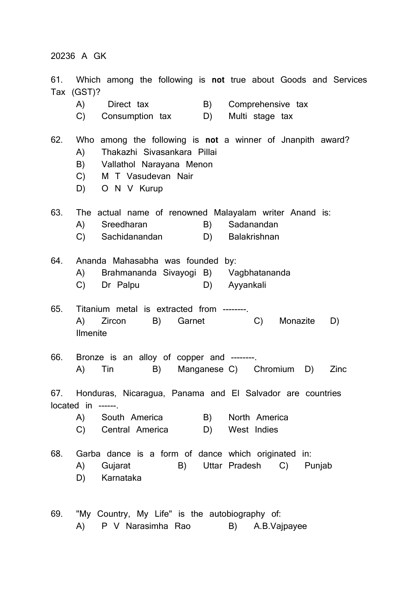20236 A GK

61. Which among the following is not true about Goods and Services Tax (GST)? A) Direct tax B) Comprehensive tax C) Consumption tax D) Multi stage tax 62. Who among the following is not a winner of Jnanpith award? A) Thakazhi Sivasankara Pillai B) Vallathol Narayana Menon C) M T Vasudevan Nair D) O N V Kurup 63. The actual name of renowned Malayalam writer Anand is: A) Sreedharan B) Sadanandan C) Sachidanandan D) Balakrishnan 64. Ananda Mahasabha was founded by: A) Brahmananda Sivayogi B) Vagbhatananda C) Dr Palpu D) Avyankali 65. Titanium metal is extracted from --------. A) Zircon B) Garnet C) Monazite D) Ilmenite 66. Bronze is an alloy of copper and --------. A) Tin B) Manganese C) Chromium D) Zinc 67. Honduras, Nicaragua, Panama and El Salvador are countries located in ------. A) South America B) North America C) Central America D) West Indies 68. Garba dance is a form of dance which originated in: A) Gujarat B) Uttar Pradesh C) Punjab D) Karnataka 69. "My Country, My Life" is the autobiography of: A) P V Narasimha Rao B) A.B.Vajpayee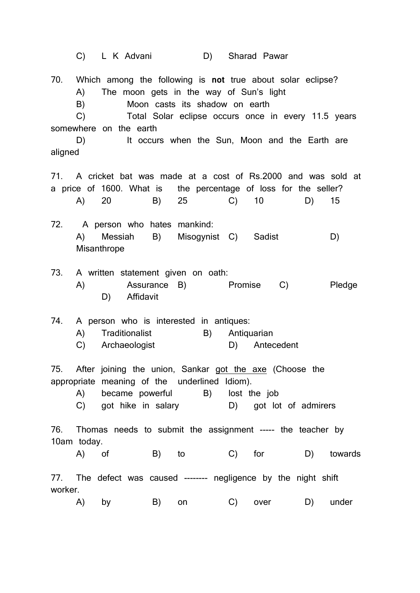|         |                      |             | C) L K Advani                                                                       |    |    | D) |                   | Sharad Pawar                            |                                                                                                                                                                         |        |
|---------|----------------------|-------------|-------------------------------------------------------------------------------------|----|----|----|-------------------|-----------------------------------------|-------------------------------------------------------------------------------------------------------------------------------------------------------------------------|--------|
|         | A)<br>B)<br>C)<br>D) |             | Moon casts its shadow on earth<br>somewhere on the earth                            |    |    |    |                   | The moon gets in the way of Sun's light | 70. Which among the following is not true about solar eclipse?<br>Total Solar eclipse occurs once in every 11.5 years<br>It occurs when the Sun, Moon and the Earth are |        |
| aligned |                      |             |                                                                                     |    |    |    |                   |                                         |                                                                                                                                                                         |        |
|         | (A)                  | 20          |                                                                                     | B) | 25 |    | $\mathsf{C}$ )    | 10                                      | 71. A cricket bat was made at a cost of Rs.2000 and was sold at<br>a price of 1600. What is the percentage of loss for the seller?<br>D)                                | 15     |
|         | A)                   | Misanthrope | 72. A person who hates mankind:<br>Messiah B)                                       |    |    |    |                   | Misogynist C) Sadist                    |                                                                                                                                                                         | D)     |
| 73.     | A)                   | D)          | A written statement given on oath:<br>Assurance B)<br>Affidavit                     |    |    |    | Promise           |                                         | C)                                                                                                                                                                      | Pledge |
| 74.     | A)<br>C)             |             | A person who is interested in antiques:<br>Traditionalist<br>Archaeologist          |    |    | B) | Antiquarian<br>D) | Antecedent                              |                                                                                                                                                                         |        |
|         |                      |             | appropriate meaning of the underlined Idiom).<br>A) became powerful B) lost the job |    |    |    |                   |                                         | 75. After joining the union, Sankar got the axe (Choose the<br>C) got hike in salary (D) got lot of admirers                                                            |        |
|         | 10am today.          |             |                                                                                     |    |    |    |                   |                                         | 76. Thomas needs to submit the assignment ----- the teacher by                                                                                                          |        |
|         |                      |             |                                                                                     |    |    |    |                   |                                         | A) of B) to C) for D) towards                                                                                                                                           |        |
| worker. |                      |             |                                                                                     |    |    |    |                   |                                         | 77. The defect was caused -------- negligence by the night shift                                                                                                        |        |
|         |                      |             |                                                                                     |    |    |    |                   |                                         | A) by B) on C) over D) under                                                                                                                                            |        |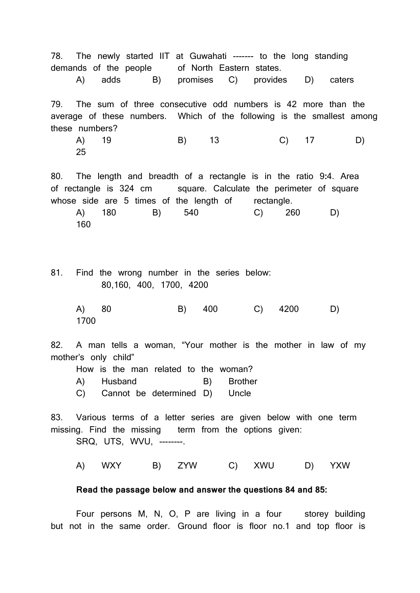78. The newly started IIT at Guwahati ------- to the long standing demands of the people of North Eastern states.

A) adds B) promises C) provides D) caters

79. The sum of three consecutive odd numbers is 42 more than the average of these numbers. Which of the following is the smallest among these numbers?

 A) 19 B) 13 C) 17 D) 25

80. The length and breadth of a rectangle is in the ratio 9:4. Area of rectangle is 324 cm square. Calculate the perimeter of square whose side are 5 times of the length of rectangle.

 A) 180 B) 540 C) 260 D) 160

81. Find the wrong number in the series below: 80,160, 400, 1700, 4200

 A) 80 B) 400 C) 4200 D) 1700

82. A man tells a woman, "Your mother is the mother in law of my mother's only child"

How is the man related to the woman?

A) Husband B) Brother

C) Cannot be determined D) Uncle

83. Various terms of a letter series are given below with one term missing. Find the missing term from the options given:

SRQ, UTS, WVU, --------.

A) WXY B) ZYW C) XWU D) YXW

## Read the passage below and answer the questions 84 and 85:

Four persons M, N, O, P are living in a four storey building but not in the same order. Ground floor is floor no.1 and top floor is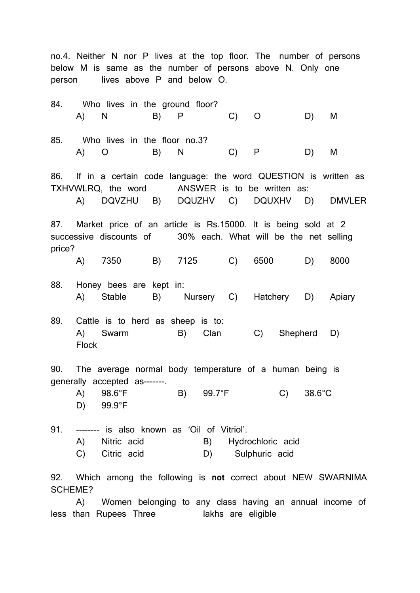no.4. Neither N nor P lives at the top floor. The number of persons below M is same as the number of persons above N. Only one person lives above P and below O.

|                                                                                                                                               |                                                                                                                                                    | A) N B) P                                                          |  | 84. Who lives in the ground floor?    | $\mathsf{C}$ ) | $\circ$                                                                                                                                                         | D) M             |          |
|-----------------------------------------------------------------------------------------------------------------------------------------------|----------------------------------------------------------------------------------------------------------------------------------------------------|--------------------------------------------------------------------|--|---------------------------------------|----------------|-----------------------------------------------------------------------------------------------------------------------------------------------------------------|------------------|----------|
|                                                                                                                                               |                                                                                                                                                    | 85. Who lives in the floor no.3?<br>A) O B) N                      |  |                                       | $C)$ $P$       |                                                                                                                                                                 | D)               | <b>M</b> |
|                                                                                                                                               |                                                                                                                                                    |                                                                    |  |                                       |                | 86. If in a certain code language: the word QUESTION is written as<br>TXHVWLRQ, the word ANSWER is to be written as:<br>A) DQVZHU B) DQUZHV C) DQUXHV D) DMVLER |                  |          |
| 87. Market price of an article is Rs.15000. It is being sold at 2<br>successive discounts of 30% each. What will be the net selling<br>price? |                                                                                                                                                    |                                                                    |  |                                       |                |                                                                                                                                                                 |                  |          |
|                                                                                                                                               |                                                                                                                                                    |                                                                    |  |                                       |                | A) 7350 B) 7125 C) 6500                                                                                                                                         | D)               | 8000     |
|                                                                                                                                               |                                                                                                                                                    | 88. Honey bees are kept in:                                        |  |                                       |                | A) Stable B) Nursery C) Hatchery D) Apiary                                                                                                                      |                  |          |
|                                                                                                                                               | <b>Flock</b>                                                                                                                                       |                                                                    |  | 89. Cattle is to herd as sheep is to: |                | A) Swarm B) Clan C) Shepherd D)                                                                                                                                 |                  |          |
| 90. The average normal body temperature of a human being is                                                                                   |                                                                                                                                                    |                                                                    |  |                                       |                |                                                                                                                                                                 |                  |          |
|                                                                                                                                               |                                                                                                                                                    | generally accepted as-------.<br>$A)$ 98.6°F<br>D) $99.9^{\circ}F$ |  | B) 99.7°F                             |                | $\mathsf{C}$ )                                                                                                                                                  | $38.6^{\circ}$ C |          |
|                                                                                                                                               | 91. -------- is also known as 'Oil of Vitriol'.<br>(A)<br>Nitric acid<br><b>B</b> )<br>Hydrochloric acid<br>C)<br>Citric acid<br>D) Sulphuric acid |                                                                    |  |                                       |                |                                                                                                                                                                 |                  |          |
| 92. Which among the following is not correct about NEW SWARNIMA<br><b>SCHEME?</b>                                                             |                                                                                                                                                    |                                                                    |  |                                       |                |                                                                                                                                                                 |                  |          |

 A) Women belonging to any class having an annual income of less than Rupees Three **lakhs** are eligible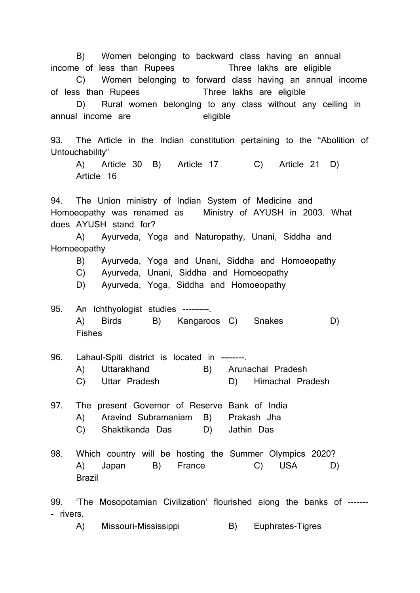B) Women belonging to backward class having an annual income of less than Rupees Three lakhs are eligible

 C) Women belonging to forward class having an annual income of less than Rupees Three lakhs are eligible

 D) Rural women belonging to any class without any ceiling in annual income are eligible

93. The Article in the Indian constitution pertaining to the "Abolition of Untouchability"

 A) Article 30 B) Article 17 C) Article 21 D) Article 16

94. The Union ministry of Indian System of Medicine and Homoeopathy was renamed as Ministry of AYUSH in 2003. What does AYUSH stand for?

 A) Ayurveda, Yoga and Naturopathy, Unani, Siddha and Homoeopathy

B) Ayurveda, Yoga and Unani, Siddha and Homoeopathy

C) Ayurveda, Unani, Siddha and Homoeopathy

D) Ayurveda, Yoga, Siddha and Homoeopathy

- 95. An Ichthyologist studies ---------. A) Birds B) Kangaroos C) Snakes D) Fishes
- 96. Lahaul-Spiti district is located in --------.
	- A) Uttarakhand B) Arunachal Pradesh
	- C) Uttar Pradesh D) Himachal Pradesh
- 97. The present Governor of Reserve Bank of India A) Aravind Subramaniam B) Prakash Jha C) Shaktikanda Das D) Jathin Das
- 98. Which country will be hosting the Summer Olympics 2020? A) Japan B) France C) USA D) Brazil

99. 'The Mosopotamian Civilization' flourished along the banks of ------- - rivers.

A) Missouri-Mississippi B) Euphrates-Tigres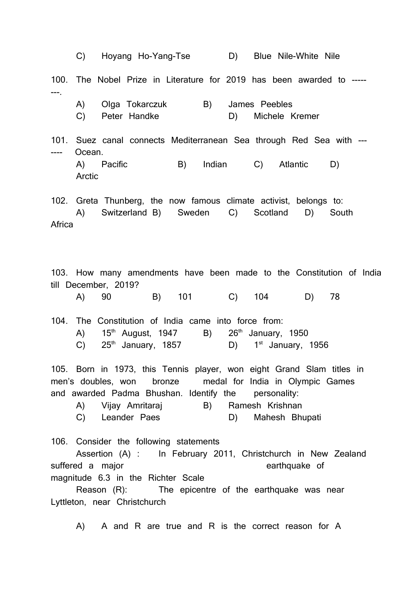C) Hoyang Ho-Yang-Tse D) Blue Nile-White Nile 100. The Nobel Prize in Literature for 2019 has been awarded to ----- ---. A) Olga Tokarczuk B) James Peebles C) Peter Handke D) Michele Kremer 101. Suez canal connects Mediterranean Sea through Red Sea with --- ---- Ocean. A) Pacific B) Indian C) Atlantic D) Arctic 102. Greta Thunberg, the now famous climate activist, belongs to: A) Switzerland B) Sweden C) Scotland D) South **Africa** 103. How many amendments have been made to the Constitution of India till December, 2019? A) 90 B) 101 C) 104 D) 78 104. The Constitution of India came into force from: A)  $15<sup>th</sup>$  August, 1947 B)  $26<sup>th</sup>$  January, 1950 C)  $25<sup>th</sup>$  January, 1857 D)  $1<sup>st</sup>$  January, 1956 105. Born in 1973, this Tennis player, won eight Grand Slam titles in men's doubles, won bronze medal for India in Olympic Games and awarded Padma Bhushan. Identify the personality: A) Vijay Amritaraj B) Ramesh Krishnan C) Leander Paes D) Mahesh Bhupati 106. Consider the following statements Assertion (A) : In February 2011, Christchurch in New Zealand suffered a major earthquake of magnitude 6.3 in the Richter Scale Reason (R): The epicentre of the earthquake was near Lyttleton, near Christchurch A) A and R are true and R is the correct reason for A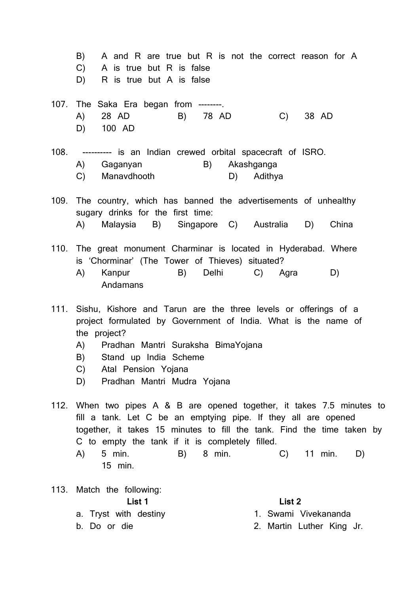B) A and R are true but R is not the correct reason for A C) A is true but R is false D) R is true but A is false 107. The Saka Era began from --------. A) 28 AD B) 78 AD C) 38 AD D) 100 AD 108. ---------- is an Indian crewed orbital spacecraft of ISRO. A) Gaganyan B) Akashganga C) Manavdhooth D) Adithya 109. The country, which has banned the advertisements of unhealthy sugary drinks for the first time: A) Malaysia B) Singapore C) Australia D) China 110. The great monument Charminar is located in Hyderabad. Where is 'Chorminar' (The Tower of Thieves) situated? A) Kanpur B) Delhi C) Agra D) Andamans 111. Sishu, Kishore and Tarun are the three levels or offerings of a project formulated by Government of India. What is the name of the project? A) Pradhan Mantri Suraksha BimaYojana

- B) Stand up India Scheme
- C) Atal Pension Yojana
- D) Pradhan Mantri Mudra Yojana

112. When two pipes A & B are opened together, it takes 7.5 minutes to fill a tank. Let C be an emptying pipe. If they all are opened together, it takes 15 minutes to fill the tank. Find the time taken by C to empty the tank if it is completely filled.

 A) 5 min. B) 8 min. C) 11 min. D) 15 min.

113. Match the following: List 1 List 2 a. Tryst with destiny and the state of the Swami Vivekananda b. Do or die 2. Martin Luther King Jr.